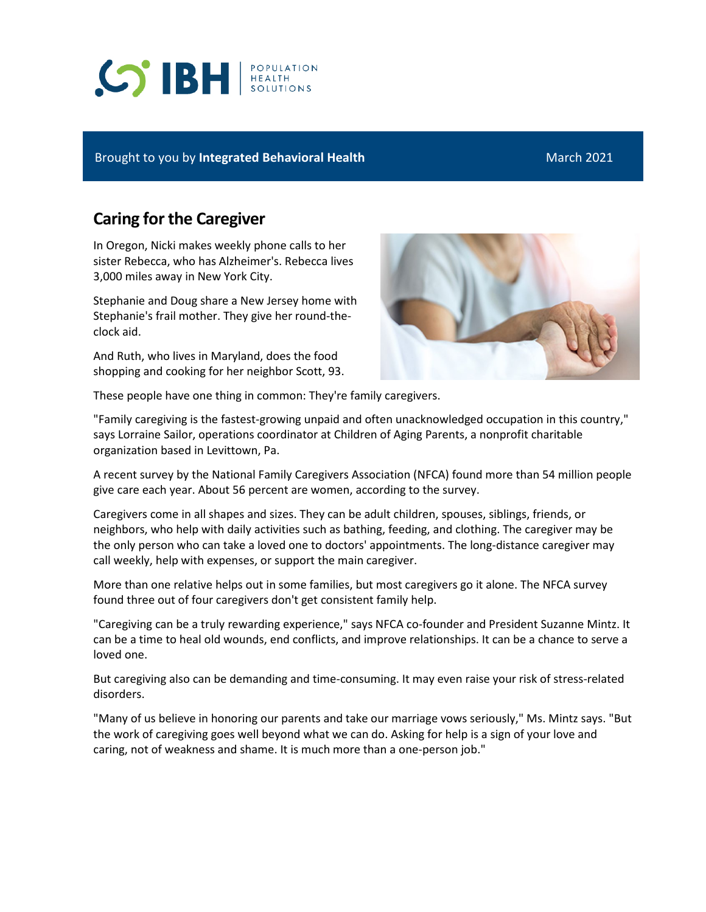# **S BH REALTH**

### Brought to you by **Integrated Behavioral Health** March 2021

## **Caring for the Caregiver**

In Oregon, Nicki makes weekly phone calls to her sister Rebecca, who has Alzheimer's. Rebecca lives 3,000 miles away in New York City.

Stephanie and Doug share a New Jersey home with Stephanie's frail mother. They give her round-theclock aid.

And Ruth, who lives in Maryland, does the food shopping and cooking for her neighbor Scott, 93.



These people have one thing in common: They're family caregivers.

"Family caregiving is the fastest-growing unpaid and often unacknowledged occupation in this country," says Lorraine Sailor, operations coordinator at Children of Aging Parents, a nonprofit charitable organization based in Levittown, Pa.

A recent survey by the National Family Caregivers Association (NFCA) found more than 54 million people give care each year. About 56 percent are women, according to the survey.

Caregivers come in all shapes and sizes. They can be adult children, spouses, siblings, friends, or neighbors, who help with daily activities such as bathing, feeding, and clothing. The caregiver may be the only person who can take a loved one to doctors' appointments. The long-distance caregiver may call weekly, help with expenses, or support the main caregiver.

More than one relative helps out in some families, but most caregivers go it alone. The NFCA survey found three out of four caregivers don't get consistent family help.

"Caregiving can be a truly rewarding experience," says NFCA co-founder and President Suzanne Mintz. It can be a time to heal old wounds, end conflicts, and improve relationships. It can be a chance to serve a loved one.

But caregiving also can be demanding and time-consuming. It may even raise your risk of stress-related disorders.

"Many of us believe in honoring our parents and take our marriage vows seriously," Ms. Mintz says. "But the work of caregiving goes well beyond what we can do. Asking for help is a sign of your love and caring, not of weakness and shame. It is much more than a one-person job."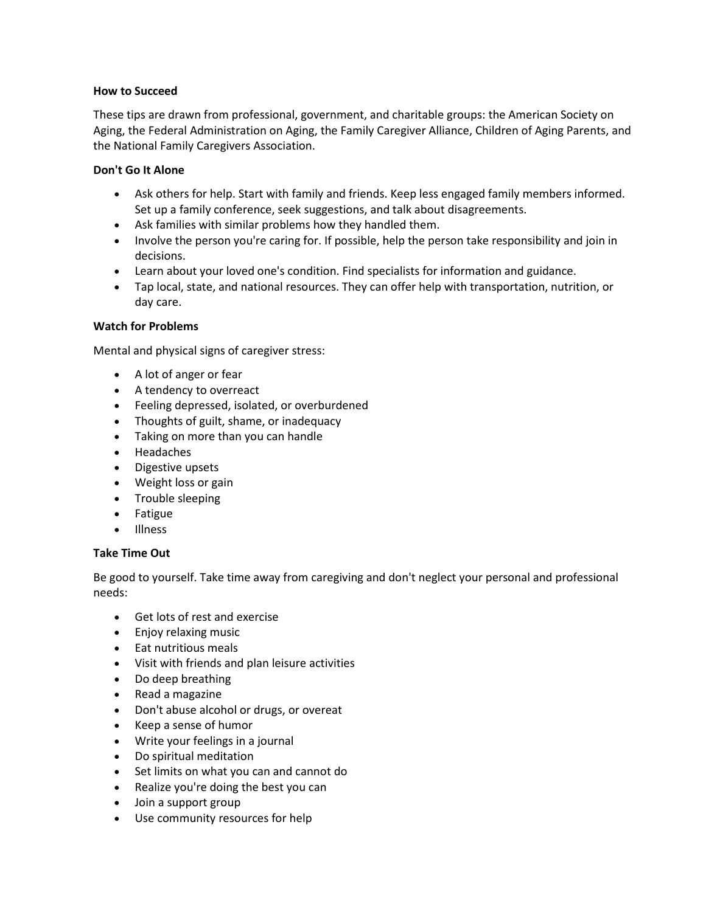#### **How to Succeed**

These tips are drawn from professional, government, and charitable groups: the American Society on Aging, the Federal Administration on Aging, the Family Caregiver Alliance, Children of Aging Parents, and the National Family Caregivers Association.

#### **Don't Go It Alone**

- Ask others for help. Start with family and friends. Keep less engaged family members informed. Set up a family conference, seek suggestions, and talk about disagreements.
- Ask families with similar problems how they handled them.
- Involve the person you're caring for. If possible, help the person take responsibility and join in decisions.
- Learn about your loved one's condition. Find specialists for information and guidance.
- Tap local, state, and national resources. They can offer help with transportation, nutrition, or day care.

#### **Watch for Problems**

Mental and physical signs of caregiver stress:

- A lot of anger or fear
- A tendency to overreact
- Feeling depressed, isolated, or overburdened
- Thoughts of guilt, shame, or inadequacy
- Taking on more than you can handle
- Headaches
- Digestive upsets
- Weight loss or gain
- Trouble sleeping
- Fatigue
- Illness

#### **Take Time Out**

Be good to yourself. Take time away from caregiving and don't neglect your personal and professional needs:

- Get lots of rest and exercise
- Enjoy relaxing music
- Eat nutritious meals
- Visit with friends and plan leisure activities
- Do deep breathing
- Read a magazine
- Don't abuse alcohol or drugs, or overeat
- Keep a sense of humor
- Write your feelings in a journal
- Do spiritual meditation
- Set limits on what you can and cannot do
- Realize you're doing the best you can
- Join a support group
- Use community resources for help